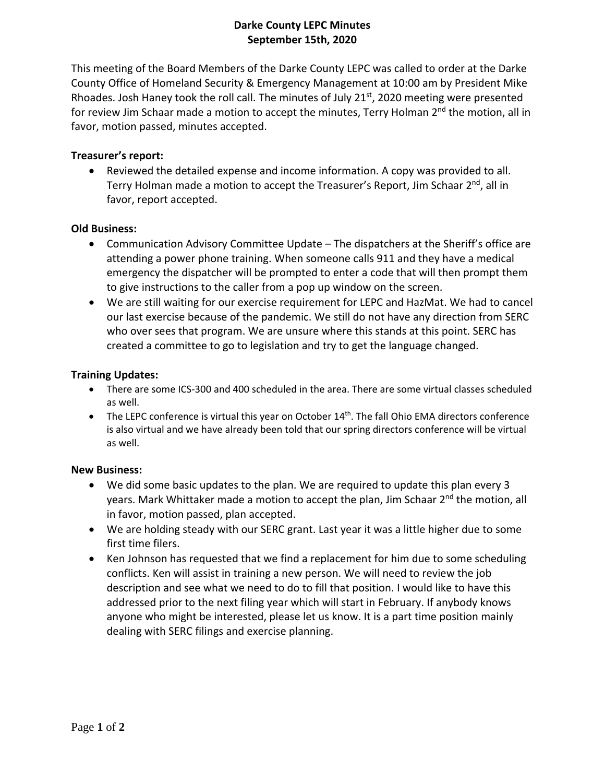# **Darke County LEPC Minutes September 15th, 2020**

This meeting of the Board Members of the Darke County LEPC was called to order at the Darke County Office of Homeland Security & Emergency Management at 10:00 am by President Mike Rhoades. Josh Haney took the roll call. The minutes of July 21<sup>st</sup>, 2020 meeting were presented for review Jim Schaar made a motion to accept the minutes, Terry Holman  $2<sup>nd</sup>$  the motion, all in favor, motion passed, minutes accepted.

# **Treasurer's report:**

 Reviewed the detailed expense and income information. A copy was provided to all. Terry Holman made a motion to accept the Treasurer's Report, Jim Schaar 2<sup>nd</sup>, all in favor, report accepted.

### **Old Business:**

- Communication Advisory Committee Update The dispatchers at the Sheriff's office are attending a power phone training. When someone calls 911 and they have a medical emergency the dispatcher will be prompted to enter a code that will then prompt them to give instructions to the caller from a pop up window on the screen.
- We are still waiting for our exercise requirement for LEPC and HazMat. We had to cancel our last exercise because of the pandemic. We still do not have any direction from SERC who over sees that program. We are unsure where this stands at this point. SERC has created a committee to go to legislation and try to get the language changed.

## **Training Updates:**

- There are some ICS-300 and 400 scheduled in the area. There are some virtual classes scheduled as well.
- $\bullet$  The LEPC conference is virtual this year on October 14<sup>th</sup>. The fall Ohio EMA directors conference is also virtual and we have already been told that our spring directors conference will be virtual as well.

### **New Business:**

- We did some basic updates to the plan. We are required to update this plan every 3 years. Mark Whittaker made a motion to accept the plan, Jim Schaar 2<sup>nd</sup> the motion, all in favor, motion passed, plan accepted.
- We are holding steady with our SERC grant. Last year it was a little higher due to some first time filers.
- Ken Johnson has requested that we find a replacement for him due to some scheduling conflicts. Ken will assist in training a new person. We will need to review the job description and see what we need to do to fill that position. I would like to have this addressed prior to the next filing year which will start in February. If anybody knows anyone who might be interested, please let us know. It is a part time position mainly dealing with SERC filings and exercise planning.